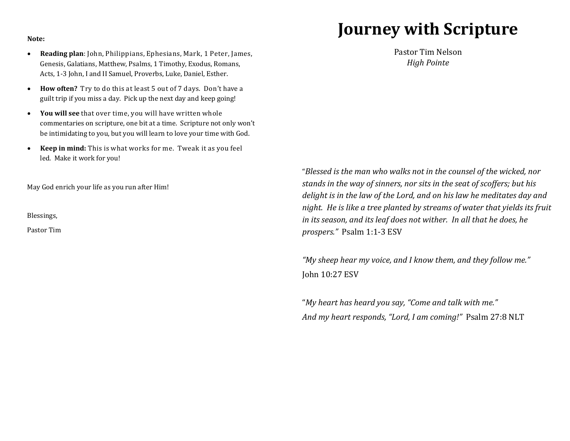## **Journey with Scripture**

## **Note:**

- **Reading plan**: John, Philippians, Ephesians, Mark, 1 Peter, James, Genesis, Galatians, Matthew, Psalms, 1 Timothy, Exodus, Romans, Acts, 1-3 John, I and II Samuel, Proverbs, Luke, Daniel, Esther.
- **How often?** Try to do this at least 5 out of 7 days. Don't have a guilt trip if you miss a day. Pick up the next day and keep going!
- **You will see** that over time, you will have written whole commentaries on scripture, one bit at a time. Scripture not only won't be intimidating to you, but you will learn to love your time with God.
- **Keep in mind:** This is what works for me. Tweak it as you feel led. Make it work for you!

May God enrich your life as you run after Him!

Blessings,

Pastor Tim

Pastor Tim Nelson *High Pointe* 

"*Blessed is the man who walks not in the counsel of the wicked, nor stands in the way of sinners, nor sits in the seat of scoffers; but his delight is in the law of the Lord, and on his law he meditates day and night. He is like a tree planted by streams of water that yields its fruit in its season, and its leaf does not wither. In all that he does, he prospers."* Psalm 1:1-3 ESV

*"My sheep hear my voice, and I know them, and they follow me."* John 10:27 ESV

"*My heart has heard you say, "Come and talk with me." And my heart responds, "Lord, I am coming!"* Psalm 27:8 NLT